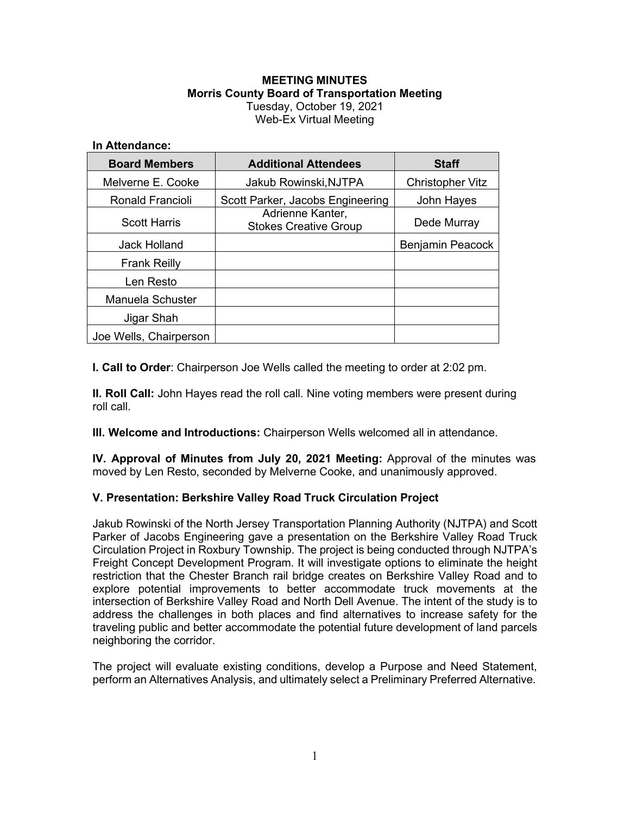### **MEETING MINUTES Morris County Board of Transportation Meeting** Tuesday, October 19, 2021 Web-Ex Virtual Meeting

#### **In Attendance:**

| <b>Board Members</b>    | <b>Additional Attendees</b>                      | <b>Staff</b>            |
|-------------------------|--------------------------------------------------|-------------------------|
| Melverne E. Cooke       | Jakub Rowinski, NJTPA                            | <b>Christopher Vitz</b> |
| <b>Ronald Francioli</b> | Scott Parker, Jacobs Engineering                 | John Hayes              |
| <b>Scott Harris</b>     | Adrienne Kanter,<br><b>Stokes Creative Group</b> | Dede Murray             |
| Jack Holland            |                                                  | <b>Benjamin Peacock</b> |
| <b>Frank Reilly</b>     |                                                  |                         |
| Len Resto               |                                                  |                         |
| Manuela Schuster        |                                                  |                         |
| Jigar Shah              |                                                  |                         |
| Joe Wells, Chairperson  |                                                  |                         |

**I. Call to Order**: Chairperson Joe Wells called the meeting to order at 2:02 pm.

**II. Roll Call:** John Hayes read the roll call. Nine voting members were present during roll call.

**III. Welcome and Introductions:** Chairperson Wells welcomed all in attendance.

**IV. Approval of Minutes from July 20, 2021 Meeting:** Approval of the minutes was moved by Len Resto, seconded by Melverne Cooke, and unanimously approved.

# **V. Presentation: Berkshire Valley Road Truck Circulation Project**

Jakub Rowinski of the North Jersey Transportation Planning Authority (NJTPA) and Scott Parker of Jacobs Engineering gave a presentation on the Berkshire Valley Road Truck Circulation Project in Roxbury Township. The project is being conducted through NJTPA's Freight Concept Development Program. It will investigate options to eliminate the height restriction that the Chester Branch rail bridge creates on Berkshire Valley Road and to explore potential improvements to better accommodate truck movements at the intersection of Berkshire Valley Road and North Dell Avenue. The intent of the study is to address the challenges in both places and find alternatives to increase safety for the traveling public and better accommodate the potential future development of land parcels neighboring the corridor.

The project will evaluate existing conditions, develop a Purpose and Need Statement, perform an Alternatives Analysis, and ultimately select a Preliminary Preferred Alternative.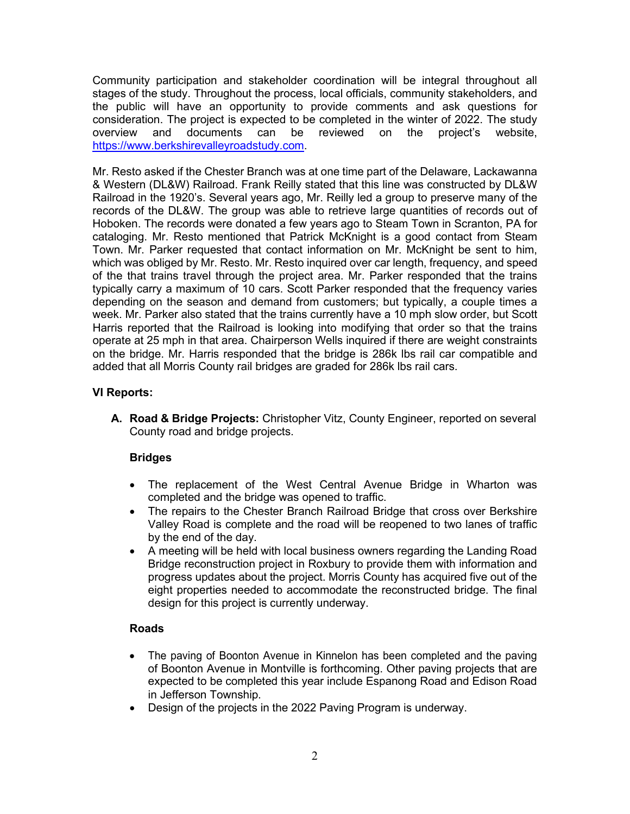Community participation and stakeholder coordination will be integral throughout all stages of the study. Throughout the process, local officials, community stakeholders, and the public will have an opportunity to provide comments and ask questions for consideration. The project is expected to be completed in the winter of 2022. The study overview and documents can be reviewed on the project's website, [https://www.berkshirevalleyroadstudy.com.](https://www.berkshirevalleyroadstudy.com/)

Mr. Resto asked if the Chester Branch was at one time part of the Delaware, Lackawanna & Western (DL&W) Railroad. Frank Reilly stated that this line was constructed by DL&W Railroad in the 1920's. Several years ago, Mr. Reilly led a group to preserve many of the records of the DL&W. The group was able to retrieve large quantities of records out of Hoboken. The records were donated a few years ago to Steam Town in Scranton, PA for cataloging. Mr. Resto mentioned that Patrick McKnight is a good contact from Steam Town. Mr. Parker requested that contact information on Mr. McKnight be sent to him, which was obliged by Mr. Resto. Mr. Resto inquired over car length, frequency, and speed of the that trains travel through the project area. Mr. Parker responded that the trains typically carry a maximum of 10 cars. Scott Parker responded that the frequency varies depending on the season and demand from customers; but typically, a couple times a week. Mr. Parker also stated that the trains currently have a 10 mph slow order, but Scott Harris reported that the Railroad is looking into modifying that order so that the trains operate at 25 mph in that area. Chairperson Wells inquired if there are weight constraints on the bridge. Mr. Harris responded that the bridge is 286k lbs rail car compatible and added that all Morris County rail bridges are graded for 286k lbs rail cars.

# **VI Reports:**

**A. Road & Bridge Projects:** Christopher Vitz, County Engineer, reported on several County road and bridge projects.

# **Bridges**

- The replacement of the West Central Avenue Bridge in Wharton was completed and the bridge was opened to traffic.
- The repairs to the Chester Branch Railroad Bridge that cross over Berkshire Valley Road is complete and the road will be reopened to two lanes of traffic by the end of the day.
- A meeting will be held with local business owners regarding the Landing Road Bridge reconstruction project in Roxbury to provide them with information and progress updates about the project. Morris County has acquired five out of the eight properties needed to accommodate the reconstructed bridge. The final design for this project is currently underway.

## **Roads**

- The paving of Boonton Avenue in Kinnelon has been completed and the paving of Boonton Avenue in Montville is forthcoming. Other paving projects that are expected to be completed this year include Espanong Road and Edison Road in Jefferson Township.
- Design of the projects in the 2022 Paving Program is underway.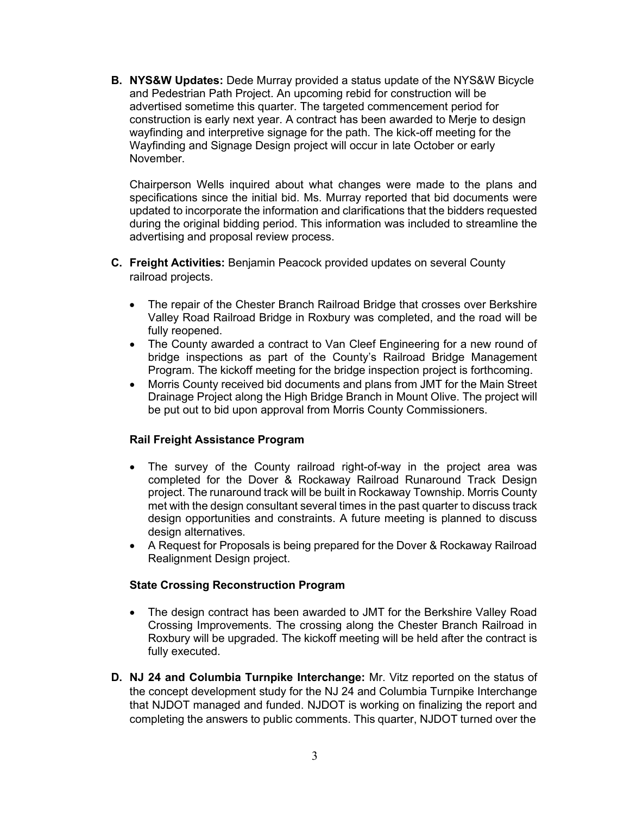**B. NYS&W Updates:** Dede Murray provided a status update of the NYS&W Bicycle and Pedestrian Path Project. An upcoming rebid for construction will be advertised sometime this quarter. The targeted commencement period for construction is early next year. A contract has been awarded to Merje to design wayfinding and interpretive signage for the path. The kick-off meeting for the Wayfinding and Signage Design project will occur in late October or early November.

Chairperson Wells inquired about what changes were made to the plans and specifications since the initial bid. Ms. Murray reported that bid documents were updated to incorporate the information and clarifications that the bidders requested during the original bidding period. This information was included to streamline the advertising and proposal review process.

- **C. Freight Activities:** Benjamin Peacock provided updates on several County railroad projects.
	- The repair of the Chester Branch Railroad Bridge that crosses over Berkshire Valley Road Railroad Bridge in Roxbury was completed, and the road will be fully reopened.
	- The County awarded a contract to Van Cleef Engineering for a new round of bridge inspections as part of the County's Railroad Bridge Management Program. The kickoff meeting for the bridge inspection project is forthcoming.
	- Morris County received bid documents and plans from JMT for the Main Street Drainage Project along the High Bridge Branch in Mount Olive. The project will be put out to bid upon approval from Morris County Commissioners.

## **Rail Freight Assistance Program**

- The survey of the County railroad right-of-way in the project area was completed for the Dover & Rockaway Railroad Runaround Track Design project. The runaround track will be built in Rockaway Township. Morris County met with the design consultant several times in the past quarter to discuss track design opportunities and constraints. A future meeting is planned to discuss design alternatives.
- A Request for Proposals is being prepared for the Dover & Rockaway Railroad Realignment Design project.

#### **State Crossing Reconstruction Program**

- The design contract has been awarded to JMT for the Berkshire Valley Road Crossing Improvements. The crossing along the Chester Branch Railroad in Roxbury will be upgraded. The kickoff meeting will be held after the contract is fully executed.
- **D. NJ 24 and Columbia Turnpike Interchange:** Mr. Vitz reported on the status of the concept development study for the NJ 24 and Columbia Turnpike Interchange that NJDOT managed and funded. NJDOT is working on finalizing the report and completing the answers to public comments. This quarter, NJDOT turned over the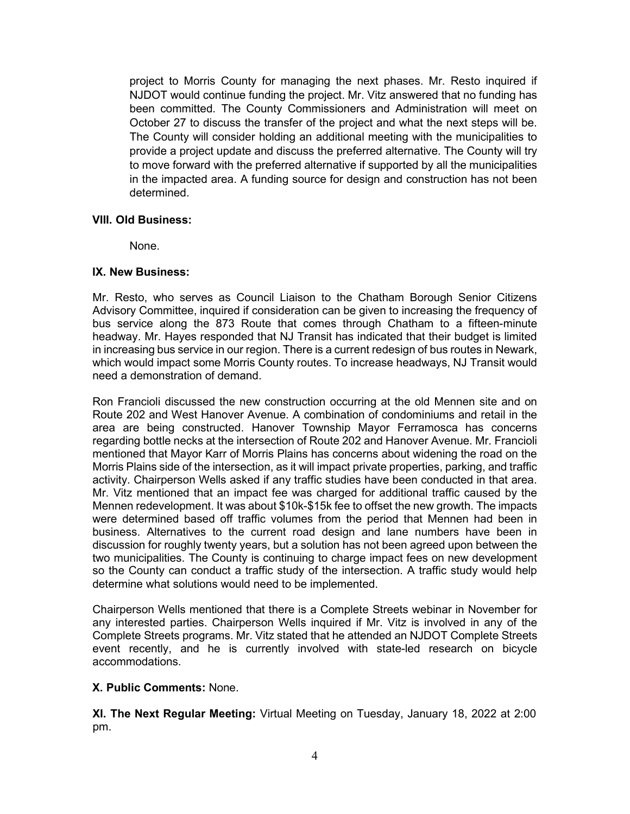project to Morris County for managing the next phases. Mr. Resto inquired if NJDOT would continue funding the project. Mr. Vitz answered that no funding has been committed. The County Commissioners and Administration will meet on October 27 to discuss the transfer of the project and what the next steps will be. The County will consider holding an additional meeting with the municipalities to provide a project update and discuss the preferred alternative. The County will try to move forward with the preferred alternative if supported by all the municipalities in the impacted area. A funding source for design and construction has not been determined.

### **VIII. Old Business:**

None.

### **IX. New Business:**

Mr. Resto, who serves as Council Liaison to the Chatham Borough Senior Citizens Advisory Committee, inquired if consideration can be given to increasing the frequency of bus service along the 873 Route that comes through Chatham to a fifteen-minute headway. Mr. Hayes responded that NJ Transit has indicated that their budget is limited in increasing bus service in our region. There is a current redesign of bus routes in Newark, which would impact some Morris County routes. To increase headways, NJ Transit would need a demonstration of demand.

Ron Francioli discussed the new construction occurring at the old Mennen site and on Route 202 and West Hanover Avenue. A combination of condominiums and retail in the area are being constructed. Hanover Township Mayor Ferramosca has concerns regarding bottle necks at the intersection of Route 202 and Hanover Avenue. Mr. Francioli mentioned that Mayor Karr of Morris Plains has concerns about widening the road on the Morris Plains side of the intersection, as it will impact private properties, parking, and traffic activity. Chairperson Wells asked if any traffic studies have been conducted in that area. Mr. Vitz mentioned that an impact fee was charged for additional traffic caused by the Mennen redevelopment. It was about \$10k-\$15k fee to offset the new growth. The impacts were determined based off traffic volumes from the period that Mennen had been in business. Alternatives to the current road design and lane numbers have been in discussion for roughly twenty years, but a solution has not been agreed upon between the two municipalities. The County is continuing to charge impact fees on new development so the County can conduct a traffic study of the intersection. A traffic study would help determine what solutions would need to be implemented.

Chairperson Wells mentioned that there is a Complete Streets webinar in November for any interested parties. Chairperson Wells inquired if Mr. Vitz is involved in any of the Complete Streets programs. Mr. Vitz stated that he attended an NJDOT Complete Streets event recently, and he is currently involved with state-led research on bicycle accommodations.

## **X. Public Comments:** None.

**XI. The Next Regular Meeting:** Virtual Meeting on Tuesday, January 18, 2022 at 2:00 pm.